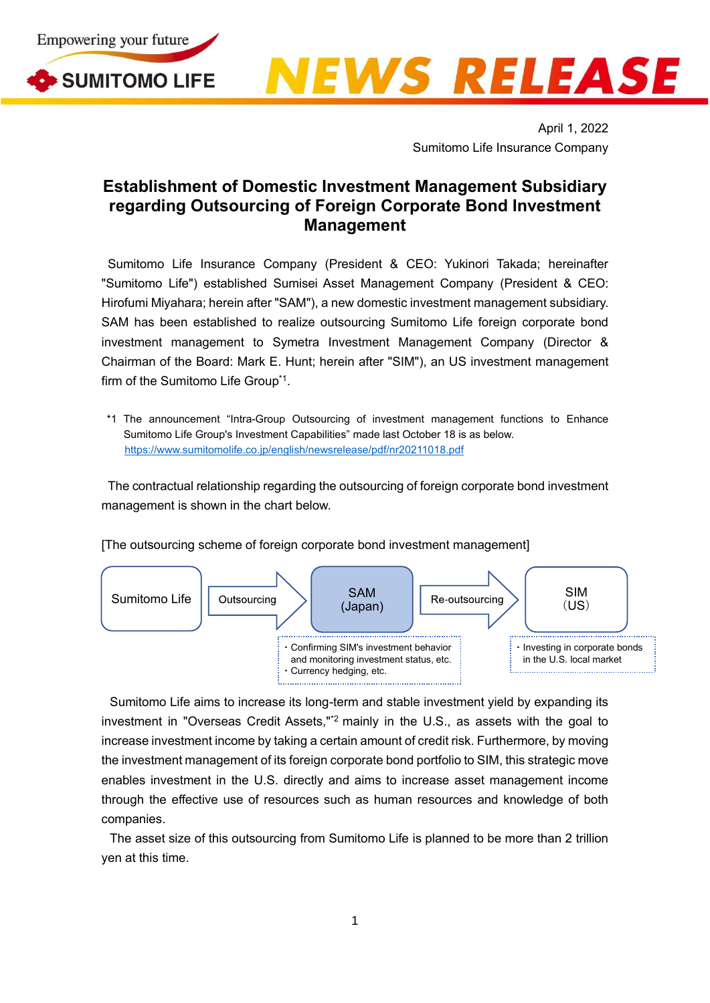

SUMITOMO LIFE



April 1, 2022 Sumitomo Life Insurance Company

## **Establishment of Domestic Investment Management Subsidiary regarding Outsourcing of Foreign Corporate Bond Investment Management**

Sumitomo Life Insurance Company (President & CEO: Yukinori Takada; hereinafter "Sumitomo Life") established Sumisei Asset Management Company (President & CEO: Hirofumi Miyahara; herein after "SAM"), a new domestic investment management subsidiary. SAM has been established to realize outsourcing Sumitomo Life foreign corporate bond investment management to Symetra Investment Management Company (Director & Chairman of the Board: Mark E. Hunt; herein after "SIM"), an US investment management firm of the Sumitomo Life Group<sup>\*1</sup>.

\*1 The announcement "Intra-Group Outsourcing of investment management functions to Enhance Sumitomo Life Group's Investment Capabilities" made last October 18 is as below. <https://www.sumitomolife.co.jp/english/newsrelease/pdf/nr20211018.pdf>

The contractual relationship regarding the outsourcing of foreign corporate bond investment management is shown in the chart below.

[The outsourcing scheme of foreign corporate bond investment management]



Sumitomo Life aims to increase its long-term and stable investment yield by expanding its investment in "Overseas Credit Assets,"\*2 mainly in the U.S., as assets with the goal to increase investment income by taking a certain amount of credit risk. Furthermore, by moving the investment management of its foreign corporate bond portfolio to SIM, this strategic move enables investment in the U.S. directly and aims to increase asset management income through the effective use of resources such as human resources and knowledge of both companies.

The asset size of this outsourcing from Sumitomo Life is planned to be more than 2 trillion yen at this time.